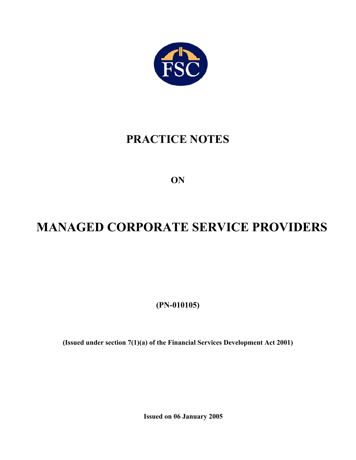

# **PRACTICE NOTES**

**ON** 

# **MANAGED CORPORATE SERVICE PROVIDERS**

**(PN-010105)** 

**(Issued under section 7(1)(a) of the Financial Services Development Act 2001)** 

**Issued on 06 January 2005**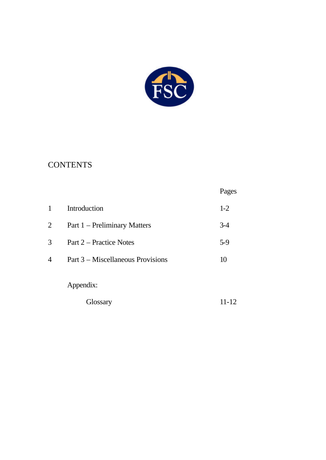

## **CONTENTS**

|                |                                   | Pages |
|----------------|-----------------------------------|-------|
| 1              | Introduction                      | $1-2$ |
| $\overline{2}$ | Part 1 – Preliminary Matters      | $3-4$ |
| 3              | Part 2 – Practice Notes           | $5-9$ |
| 4              | Part 3 – Miscellaneous Provisions | 10    |
|                | Appendix:                         |       |
|                | Glossary                          | 11-12 |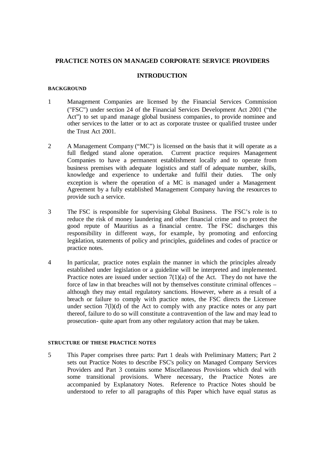#### **PRACTICE NOTES ON MANAGED CORPORATE SERVICE PROVIDERS**

#### **INTRODUCTION**

#### **BACKGROUND**

- 1 Management Companies are licensed by the Financial Services Commission ("FSC") under section 24 of the Financial Services Development Act 2001 ("the Act") to set up and manage global business companies, to provide nominee and other services to the latter or to act as corporate trustee or qualified trustee under the Trust Act 2001.
- 2 A Management Company ("MC") is licensed on the basis that it will operate as a full fledged stand alone operation. Current practice requires Management Companies to have a permanent establishment locally and to operate from business premises with adequate logistics and staff of adequate number, skills, knowledge and experience to undertake and fulfil their duties. The only exception is where the operation of a MC is managed under a Management Agreement by a fully established Management Company having the resources to provide such a service.
- 3 The FSC is responsible for supervising Global Business. The FSC's role is to reduce the risk of money laundering and other financial crime and to protect the good repute of Mauritius as a financial centre. The FSC discharges this responsibility in different ways, for example, by promoting and enforcing legislation, statements of policy and principles, guidelines and codes of practice or practice notes.
- 4 In particular, practice notes explain the manner in which the principles already established under legislation or a guideline will be interpreted and implemented. Practice notes are issued under section  $7(1)(a)$  of the Act. They do not have the force of law in that breaches will not by themselves constitute criminal offences – although they may entail regulatory sanctions. However, where as a result of a breach or failure to comply with practice notes, the FSC directs the Licensee under section 7(l)(d) of the Act to comply with any practice notes or any part thereof, failure to do so will constitute a contravention of the law and may lead to prosecution- quite apart from any other regulatory action that may be taken.

#### **STRUCTURE OF THESE PRACTICE NOTES**

5 This Paper comprises three parts: Part 1 deals with Preliminary Matters; Part 2 sets out Practice Notes to describe FSC's policy on Managed Company Services Providers and Part 3 contains some Miscellaneous Provisions which deal with some transitional provisions. Where necessary, the Practice Notes are accompanied by Explanatory Notes. Reference to Practice Notes should be understood to refer to all paragraphs of this Paper which have equal status as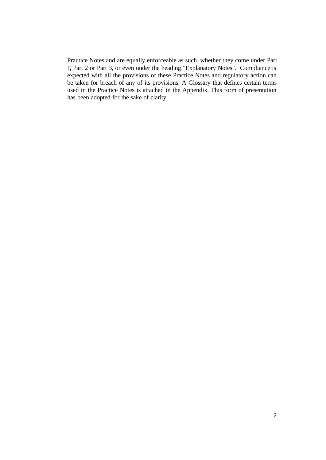Practice Notes and are equally enforceable as such, whether they come under Part 1**,** Part 2 or Part 3, or even under the heading "Explanatory Notes". Compliance is expected with all the provisions of these Practice Notes and regulatory action can be taken for breach of any of its provisions. A Glossary that defines certain terms used in the Practice Notes is attached in the Appendix. This form of presentation has been adopted for the sake of clarity.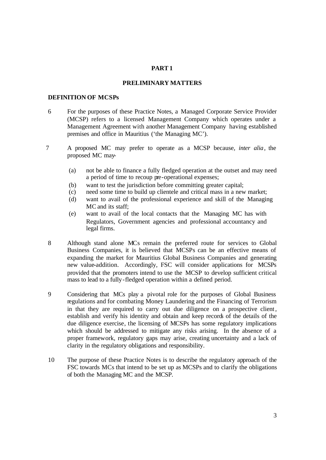#### **PART 1**

#### **PRELIMINARY MATTERS**

#### **DEFINITION OF MCSPs**

- 6 For the purposes of these Practice Notes, a Managed Corporate Service Provider (MCSP) refers to a licensed Management Company which operates under a Management Agreement with another Management Company having established premises and office in Mauritius ('the Managing MC').
- 7 A proposed MC may prefer to operate as a MCSP because, *inter alia*, the proposed MC may-
	- (a) not be able to finance a fully fledged operation at the outset and may need a period of time to recoup pre-operational expenses;
	- (b) want to test the jurisdiction before committing greater capital;
	- (c) need some time to build up clientele and critical mass in a new market;
	- (d) want to avail of the professional experience and skill of the Managing MC and its staff;
	- (e) want to avail of the local contacts that the Managing MC has with Regulators, Government agencies and professional accountancy and legal firms.
- 8 Although stand alone MCs remain the preferred route for services to Global Business Companies, it is believed that MCSPs can be an effective means of expanding the market for Mauritius Global Business Companies and generating new value-addition. Accordingly, FSC will consider applications for MCSPs provided that the promoters intend to use the MCSP to develop sufficient critical mass to lead to a fully-fledged operation within a defined period.
- 9 Considering that MCs play a pivotal role for the purposes of Global Business regulations and for combating Money Laundering and the Financing of Terrorism in that they are required to carry out due diligence on a prospective client, establish and verify his identity and obtain and keep records of the details of the due diligence exercise, the licensing of MCSPs has some regulatory implications which should be addressed to mitigate any risks arising. In the absence of a proper framework, regulatory gaps may arise, creating uncertainty and a lack of clarity in the regulatory obligations and responsibility.
- 10 The purpose of these Practice Notes is to describe the regulatory approach of the FSC towards MCs that intend to be set up as MCSPs and to clarify the obligations of both the Managing MC and the MCSP.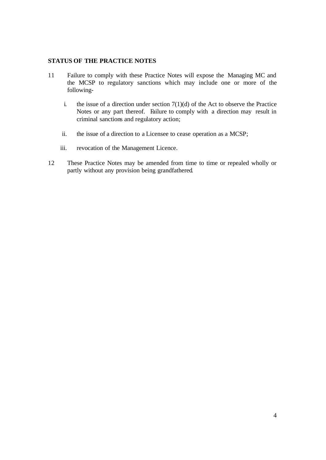#### **STATUS OF THE PRACTICE NOTES**

- 11 Failure to comply with these Practice Notes will expose the Managing MC and the MCSP to regulatory sanctions which may include one or more of the following
	- i. the issue of a direction under section  $7(1)(d)$  of the Act to observe the Practice Notes or any part thereof. Failure to comply with a direction may result in criminal sanctions and regulatory action;
	- ii. the issue of a direction to a Licensee to cease operation as a MCSP;
	- iii. revocation of the Management Licence.
- 12 These Practice Notes may be amended from time to time or repealed wholly or partly without any provision being grandfathered.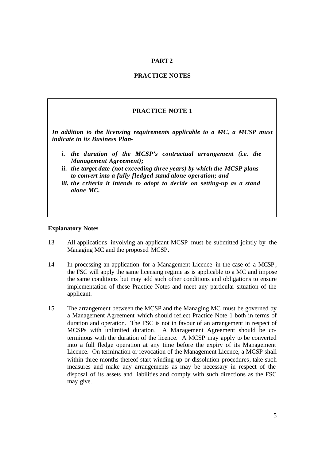#### **PART 2**

#### **PRACTICE NOTES**

#### **PRACTICE NOTE 1**

*In addition to the licensing requirements applicable to a MC, a MCSP must indicate in its Business Plan-*

- *i. the duration of the MCSP's contractual arrangement (i.e. the Management Agreement);*
- *ii. the target date (not exceeding three years) by which the MCSP plans to convert into a fully-fledged stand alone operation; and*
- *iii. the criteria it intends to adopt to decide on setting-up as a stand alone MC.*

- 13 All applications involving an applicant MCSP must be submitted jointly by the Managing MC and the proposed MCSP.
- 14 In processing an application for a Management Licence in the case of a MCSP , the FSC will apply the same licensing regime as is applicable to a MC and impose the same conditions but may add such other conditions and obligations to ensure implementation of these Practice Notes and meet any particular situation of the applicant.
- 15 The arrangement between the MCSP and the Managing MC must be governed by a Management Agreement which should reflect Practice Note 1 both in terms of duration and operation. The FSC is not in favour of an arrangement in respect of MCSPs with unlimited duration. A Management Agreement should be coterminous with the duration of the licence. A MCSP may apply to be converted into a full fledge operation at any time before the expiry of its Management Licence. On termination or revocation of the Management Licence, a MCSP shall within three months thereof start winding up or dissolution procedures, take such measures and make any arrangements as may be necessary in respect of the disposal of its assets and liabilities and comply with such directions as the FSC may give.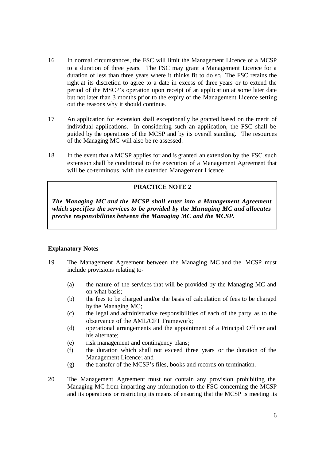- 16 In normal circumstances, the FSC will limit the Management Licence of a MCSP to a duration of three years. The FSC may grant a Management Licence for a duration of less than three years where it thinks fit to do so. The FSC retains the right at its discretion to agree to a date in excess of three years or to extend the period of the MSCP's operation upon receipt of an application at some later date but not later than 3 months prior to the expiry of the Management Licence setting out the reasons why it should continue.
- 17 An application for extension shall exceptionally be granted based on the merit of individual applications. In considering such an application, the FSC shall be guided by the operations of the MCSP and by its overall standing. The resources of the Managing MC will also be re-assessed.
- 18 In the event that a MCSP applies for and is granted an extension by the FSC, such extension shall be conditional to the execution of a Management Agreement that will be co-terminous with the extended Management Licence.

#### **PRACTICE NOTE 2**

*The Managing MC and the MCSP shall enter into a Management Agreement which specifies the services to be provided by the Managing MC and allocates precise responsibilities between the Managing MC and the MCSP.*

- 19 The Management Agreement between the Managing MC and the MCSP must include provisions relating to-
	- (a) the nature of the services that will be provided by the Managing MC and on what basis;
	- (b) the fees to be charged and/or the basis of calculation of fees to be charged by the Managing MC;
	- (c) the legal and administrative responsibilities of each of the party as to the observance of the AML/CFT Framework;
	- (d) operational arrangements and the appointment of a Principal Officer and his alternate;
	- (e) risk management and contingency plans;
	- (f) the duration which shall not exceed three years or the duration of the Management Licence; and
	- (g) the transfer of the MCSP's files, books and records on termination.
- 20 The Management Agreement must not contain any provision prohibiting the Managing MC from imparting any information to the FSC concerning the MCSP and its operations or restricting its means of ensuring that the MCSP is meeting its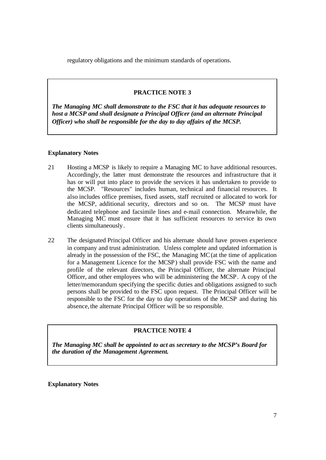regulatory obligations and the minimum standards of operations.

#### **PRACTICE NOTE 3**

*The Managing MC shall demonstrate to the FSC that it has adequate resources to host a MCSP and shall designate a Principal Officer (and an alternate Principal Officer) who shall be responsible for the day to day affairs of the MCSP.*

#### **Explanatory Notes**

- 21 Hosting a MCSP is likely to require a Managing MC to have additional resources. Accordingly, the latter must demonstrate the resources and infrastructure that it has or will put into place to provide the services it has undertaken to provide to the MCSP. "Resources" includes human, technical and financial resources. It also includes office premises, fixed assets, staff recruited or allocated to work for the MCSP, additional security, directors and so on. The MCSP must have dedicated telephone and facsimile lines and e-mail connection. Meanwhile, the Managing MC must ensure that it has sufficient resources to service its own clients simultaneously.
- 22 The designated Principal Officer and his alternate should have proven experience in company and trust administration. Unless complete and updated information is already in the possession of the FSC, the Managing MC (at the time of application for a Management Licence for the MCSP) shall provide FSC with the name and profile of the relevant directors, the Principal Officer, the alternate Principal Officer, and other employees who will be administering the MCSP. A copy of the letter/memorandum specifying the specific duties and obligations assigned to such persons shall be provided to the FSC upon request. The Principal Officer will be responsible to the FSC for the day to day operations of the MCSP and during his absence, the alternate Principal Officer will be so responsible.

#### **PRACTICE NOTE 4**

*The Managing MC shall be appointed to act as secretary to the MCSP's Board for the duration of the Management Agreement.*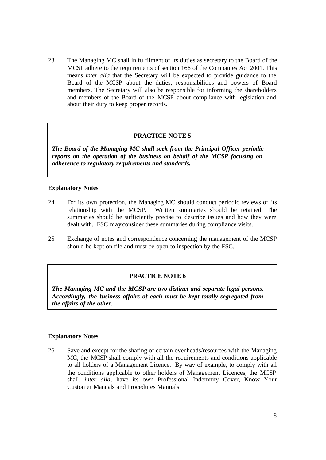23 The Managing MC shall in fulfilment of its duties as secretary to the Board of the MCSP adhere to the requirements of section 166 of the Companies Act 2001. This means *inter alia* that the Secretary will be expected to provide guidance to the Board of the MCSP about the duties, responsibilities and powers of Board members. The Secretary will also be responsible for informing the shareholders and members of the Board of the MCSP about compliance with legislation and about their duty to keep proper records.

#### **PRACTICE NOTE 5**

*The Board of the Managing MC shall seek from the Principal Officer periodic reports on the operation of the business on behalf of the MCSP focusing on adherence to regulatory requirements and standards.*

#### **Explanatory Notes**

- 24 For its own protection, the Managing MC should conduct periodic reviews of its relationship with the MCSP. Written summaries should be retained. The summaries should be sufficiently precise to describe issues and how they were dealt with. FSC may consider these summaries during compliance visits.
- 25 Exchange of notes and correspondence concerning the management of the MCSP should be kept on file and must be open to inspection by the FSC.

#### **PRACTICE NOTE 6**

*The Managing MC and the MCSP are two distinct and separate legal persons. Accordingly, the business affairs of each must be kept totally segregated from the affairs of the other.*

#### **Explanatory Notes**

26 Save and except for the sharing of certain over heads/resources with the Managing MC, the MCSP shall comply with all the requirements and conditions applicable to all holders of a Management Licence. By way of example, to comply with all the conditions applicable to other holders of Management Licences, the MCSP shall, *inter alia,* have its own Professional Indemnity Cover, Know Your Customer Manuals and Procedures Manuals.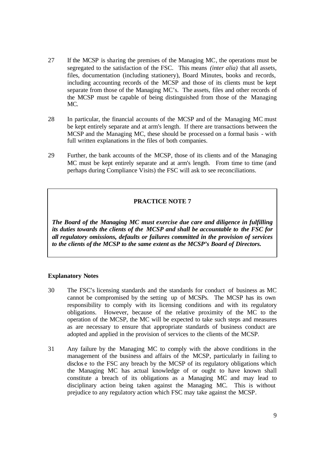- 27 If the MCSP is sharing the premises of the Managing MC, the operations must be segregated to the satisfaction of the FSC. This means *(inter alia)* that all assets, files, documentation (including stationery), Board Minutes, books and records, including accounting records of the MCSP and those of its clients must be kept separate from those of the Managing MC's. The assets, files and other records of the MCSP must be capable of being distinguished from those of the Managing MC.
- 28 In particular, the financial accounts of the MCSP and of the Managing MC must be kept entirely separate and at arm's length. If there are transactions between the MCSP and the Managing MC, these should be processed on a formal basis - with full written explanations in the files of both companies.
- 29 Further, the bank accounts of the MCSP, those of its clients and of the Managing MC must be kept entirely separate and at arm's length. From time to time (and perhaps during Compliance Visits) the FSC will ask to see reconciliations.

#### **PRACTICE NOTE 7**

*The Board of the Managing MC must exercise due care and diligence in fulfilling its duties towards the clients of the MCSP and shall be accountable to the FSC for all regulatory omissions, defaults or failures committed in the provision of services to the clients of the MCSP to the same extent as the MCSP's Board of Directors.*

- 30 The FSC's licensing standards and the standards for conduct of business as MC cannot be compromised by the setting up of MCSPs. The MCSP has its own responsibility to comply with its licensing conditions and with its regulatory obligations. However, because of the relative proximity of the MC to the operation of the MCSP, the MC will be expected to take such steps and measures as are necessary to ensure that appropriate standards of business conduct are adopted and applied in the provision of services to the clients of the MCSP.
- 31 Any failure by the Managing MC to comply with the above conditions in the management of the business and affairs of the MCSP, particularly in failing to disclos e to the FSC any breach by the MCSP of its regulatory obligations which the Managing MC has actual knowledge of or ought to have known shall constitute a breach of its obligations as a Managing MC and may lead to disciplinary action being taken against the Managing MC. This is without prejudice to any regulatory action which FSC may take against the MCSP.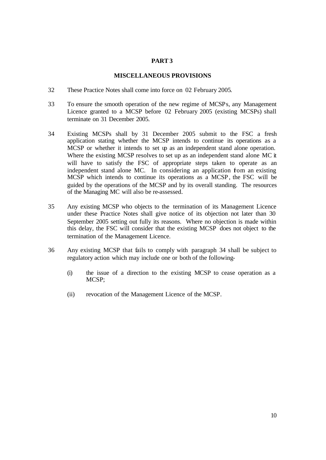#### **PART 3**

#### **MISCELLANEOUS PROVISIONS**

- 32 These Practice Notes shall come into force on 02 February 2005.
- 33 To ensure the smooth operation of the new regime of MCSPs, any Management Licence granted to a MCSP before 02 February 2005 (existing MCSPs) shall terminate on 31 December 2005.
- 34 Existing MCSPs shall by 31 December 2005 submit to the FSC a fresh application stating whether the MCSP intends to continue its operations as a MCSP or whether it intends to set up as an independent stand alone operation. Where the existing MCSP resolves to set up as an independent stand alone MC it will have to satisfy the FSC of appropriate steps taken to operate as an independent stand alone MC. In considering an application fom an existing MCSP which intends to continue its operations as a MCSP, the FSC will be guided by the operations of the MCSP and by its overall standing. The resources of the Managing MC will also be re-assessed.
- 35 Any existing MCSP who objects to the termination of its Management Licence under these Practice Notes shall give notice of its objection not later than 30 September 2005 setting out fully its reasons. Where no objection is made within this delay, the FSC will consider that the existing MCSP does not object to the termination of the Management Licence.
- 36 Any existing MCSP that fails to comply with paragraph 34 shall be subject to regulatory action which may include one or both of the following-
	- (i) the issue of a direction to the existing MCSP to cease operation as a MCSP;
	- (ii) revocation of the Management Licence of the MCSP.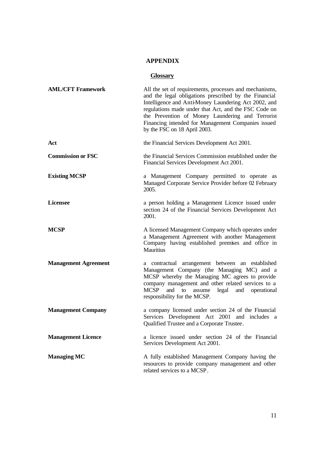### **APPENDIX**

### **Glossary**

| <b>AML/CFT Framework</b>    | All the set of requirements, processes and mechanisms,<br>and the legal obligations prescribed by the Financial<br>Intelligence and Anti-Money Laundering Act 2002, and<br>regulations made under that Act, and the FSC Code on<br>the Prevention of Money Laundering and Terrorist<br>Financing intended for Management Companies issued<br>by the FSC on 18 April 2003. |
|-----------------------------|---------------------------------------------------------------------------------------------------------------------------------------------------------------------------------------------------------------------------------------------------------------------------------------------------------------------------------------------------------------------------|
| Act                         | the Financial Services Development Act 2001.                                                                                                                                                                                                                                                                                                                              |
| <b>Commission or FSC</b>    | the Financial Services Commission established under the<br>Financial Services Development Act 2001.                                                                                                                                                                                                                                                                       |
| <b>Existing MCSP</b>        | a Management Company permitted to operate as<br>Managed Corporate Service Provider before 02 February<br>2005.                                                                                                                                                                                                                                                            |
| <b>Licensee</b>             | a person holding a Management Licence issued under<br>section 24 of the Financial Services Development Act<br>2001.                                                                                                                                                                                                                                                       |
| <b>MCSP</b>                 | A licensed Management Company which operates under<br>a Management Agreement with another Management<br>Company having established premises and office in<br>Mauritius                                                                                                                                                                                                    |
| <b>Management Agreement</b> | a contractual arrangement between an established<br>Management Company (the Managing MC) and a<br>MCSP whereby the Managing MC agrees to provide<br>company management and other related services to a<br><b>MCSP</b><br>and<br>legal<br>to<br>and<br>operational<br>assume<br>responsibility for the MCSP.                                                               |
| <b>Management Company</b>   | a company licensed under section 24 of the Financial<br>Services Development Act 2001 and includes a<br>Qualified Trustee and a Corporate Trustee.                                                                                                                                                                                                                        |
| <b>Management Licence</b>   | a licence issued under section 24 of the Financial<br>Services Development Act 2001.                                                                                                                                                                                                                                                                                      |
| <b>Managing MC</b>          | A fully established Management Company having the<br>resources to provide company management and other<br>related services to a MCSP.                                                                                                                                                                                                                                     |